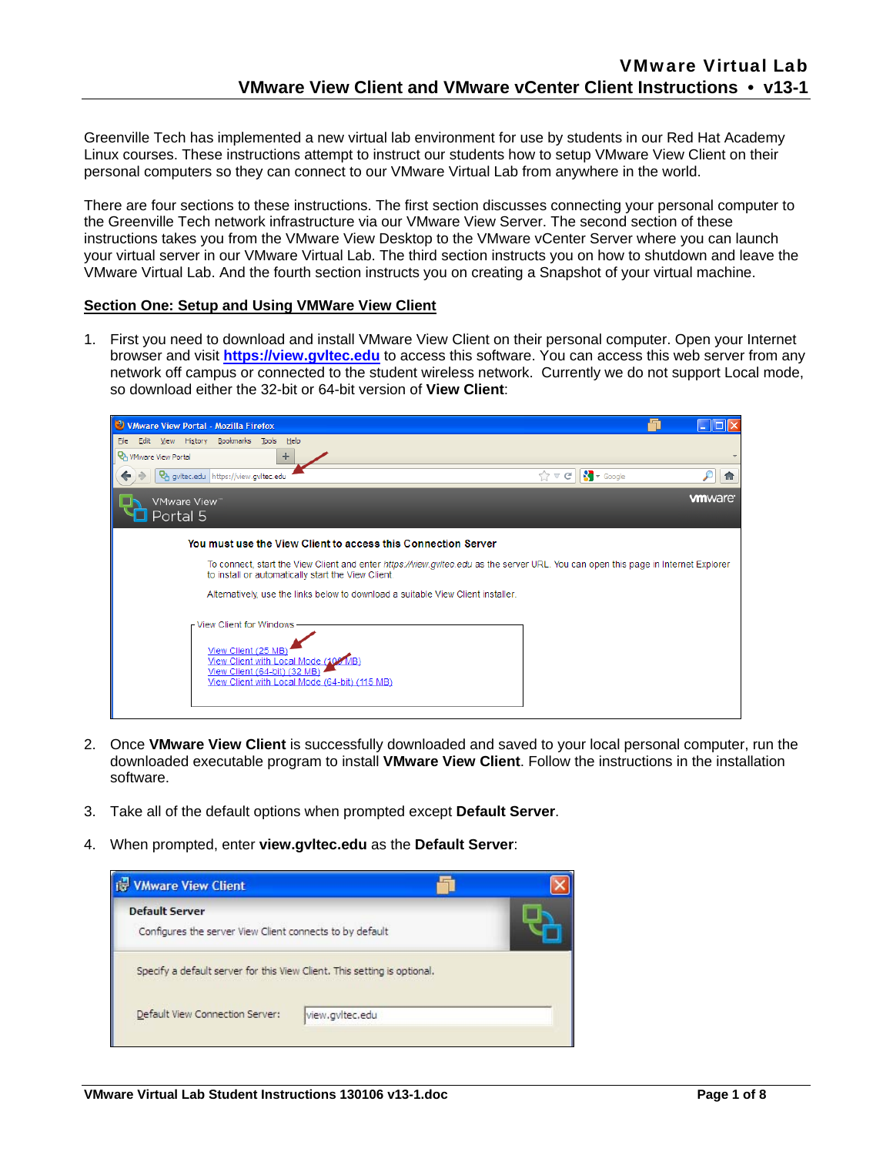Greenville Tech has implemented a new virtual lab environment for use by students in our Red Hat Academy Linux courses. These instructions attempt to instruct our students how to setup VMware View Client on their personal computers so they can connect to our VMware Virtual Lab from anywhere in the world.

There are four sections to these instructions. The first section discusses connecting your personal computer to the Greenville Tech network infrastructure via our VMware View Server. The second section of these instructions takes you from the VMware View Desktop to the VMware vCenter Server where you can launch your virtual server in our VMware Virtual Lab. The third section instructs you on how to shutdown and leave the VMware Virtual Lab. And the fourth section instructs you on creating a Snapshot of your virtual machine.

# **Section One: Setup and Using VMWare View Client**

1. First you need to download and install VMware View Client on their personal computer. Open your Internet browser and visit **https://view.gvltec.edu** to access this software. You can access this web server from any network off campus or connected to the student wireless network. Currently we do not support Local mode, so download either the 32-bit or 64-bit version of **View Client**:

| VMware View Portal - Mozilla Firefox                                                                                                                                                     |                                         |                |
|------------------------------------------------------------------------------------------------------------------------------------------------------------------------------------------|-----------------------------------------|----------------|
| File<br>View History Bookmarks Tools Help<br>Edit                                                                                                                                        |                                         |                |
| <b>PA</b> VMware View Portal<br>÷                                                                                                                                                        |                                         |                |
| Pa gyltec.edu https://view.gyltec.edu                                                                                                                                                    | $\sim$ Google<br>☆<br>$\triangledown$ C | 11             |
| VMware View™<br>Portal 5                                                                                                                                                                 |                                         | <b>vm</b> ware |
| You must use the View Client to access this Connection Server                                                                                                                            |                                         |                |
| To connect, start the View Client and enter https://view.gvitec.edu as the server URL. You can open this page in Internet Explorer<br>to install or automatically start the View Client. |                                         |                |
| Alternatively, use the links below to download a suitable View Client installer.                                                                                                         |                                         |                |
| - View Client for Windows<br>View Client (25 MB<br>View Client with Local Mode (102 MB)<br>View Client (64-bit) (32 MB)<br>View Client with Local Mode (64-bit) (115 MB)                 |                                         |                |

- 2. Once **VMware View Client** is successfully downloaded and saved to your local personal computer, run the downloaded executable program to install **VMware View Client**. Follow the instructions in the installation software.
- 3. Take all of the default options when prompted except **Default Server**.
- 4. When prompted, enter **view.gvltec.edu** as the **Default Server**:

| <b>VMware View Client</b>                                                         |                 |  |
|-----------------------------------------------------------------------------------|-----------------|--|
| <b>Default Server</b><br>Configures the server View Client connects to by default |                 |  |
| Specify a default server for this View Client. This setting is optional.          |                 |  |
| Default View Connection Server:                                                   | view.gvltec.edu |  |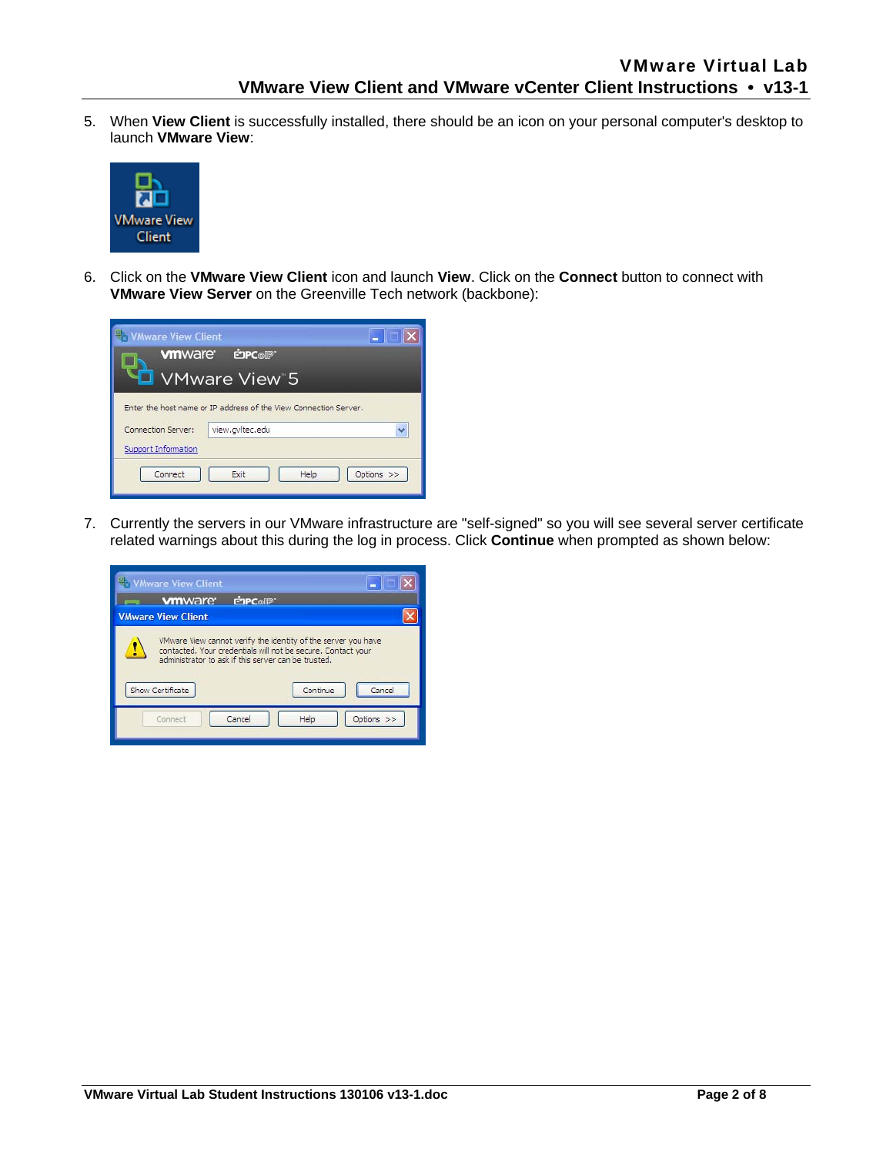5. When **View Client** is successfully installed, there should be an icon on your personal computer's desktop to launch **VMware View**:



6. Click on the **VMware View Client** icon and launch **View**. Click on the **Connect** button to connect with **VMware View Server** on the Greenville Tech network (backbone):

| <b>Whware View Client</b>   |                                                                  |             |
|-----------------------------|------------------------------------------------------------------|-------------|
| <b>vm</b> ware <sup>®</sup> | <b>EDPC</b> olP                                                  |             |
|                             | <b>D</b> VMware View 5                                           |             |
|                             | Enter the host name or IP address of the View Connection Server. |             |
| Connection Server:          | view.gvltec.edu                                                  | $\ddotmark$ |
| Support Information         |                                                                  |             |
| Connect                     | Help<br>Exit                                                     | Options >>  |
|                             |                                                                  |             |

7. Currently the servers in our VMware infrastructure are "self-signed" so you will see several server certificate related warnings about this during the log in process. Click **Continue** when prompted as shown below:

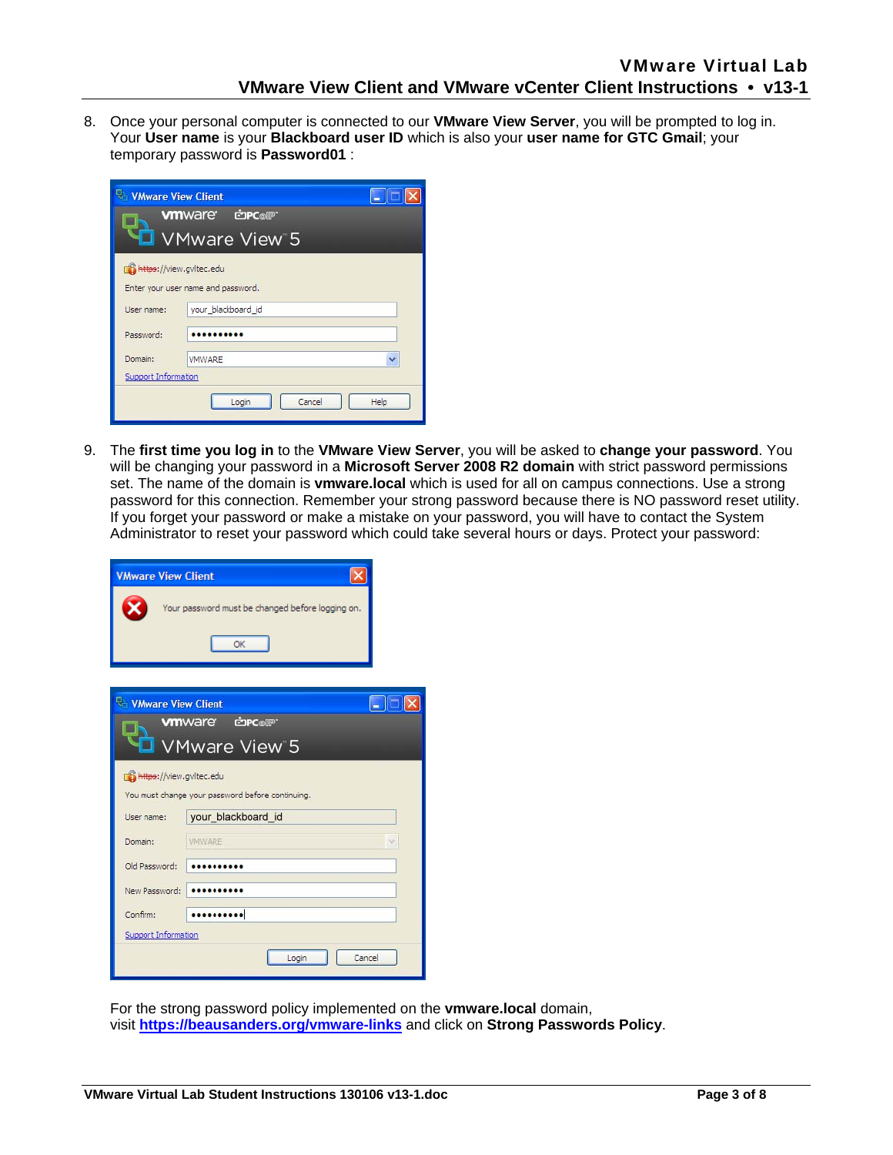8. Once your personal computer is connected to our **VMware View Server**, you will be prompted to log in. Your **User name** is your **Blackboard user ID** which is also your **user name for GTC Gmail**; your temporary password is **Password01** :

| <b>Whware View Client</b><br>E I<br><b>COPC</b> OUP<br><b>vm</b> ware <sup>.</sup><br><b>U</b> VMware View 5 |                                    |  |
|--------------------------------------------------------------------------------------------------------------|------------------------------------|--|
| https://view.gvltec.edu                                                                                      | Enter your user name and password. |  |
| User name:                                                                                                   | your blackboard id                 |  |
| Password:                                                                                                    |                                    |  |
| Domain:                                                                                                      | Ÿ<br><b>VMWARE</b>                 |  |
| Support Information                                                                                          |                                    |  |
| Cancel<br>Help<br>Login                                                                                      |                                    |  |

9. The **first time you log in** to the **VMware View Server**, you will be asked to **change your password**. You will be changing your password in a **Microsoft Server 2008 R2 domain** with strict password permissions set. The name of the domain is **vmware.local** which is used for all on campus connections. Use a strong password for this connection. Remember your strong password because there is NO password reset utility. If you forget your password or make a mistake on your password, you will have to contact the System Administrator to reset your password which could take several hours or days. Protect your password:

| <b>VMware View Client</b>  |                                                  |    |
|----------------------------|--------------------------------------------------|----|
|                            | Your password must be changed before logging on. |    |
|                            | OK                                               |    |
| <b>Whymare View Client</b> | <b>VM</b> Ware cope                              | L. |
|                            | <b>VMware View 5</b>                             |    |
| https://view.gvltec.edu    | You must change your password before continuing. |    |
| User name:                 | your_blackboard_id                               |    |
| Domain:                    | <b>VIVIWARE</b>                                  |    |
| Old Password:              |                                                  |    |
| New Password:              |                                                  |    |
| Confirm:                   |                                                  |    |
| Support Information        |                                                  |    |
|                            | Cancel<br>Login                                  |    |

For the strong password policy implemented on the **vmware.local** domain, visit **https://beausanders.org/vmware-links** and click on **Strong Passwords Policy**.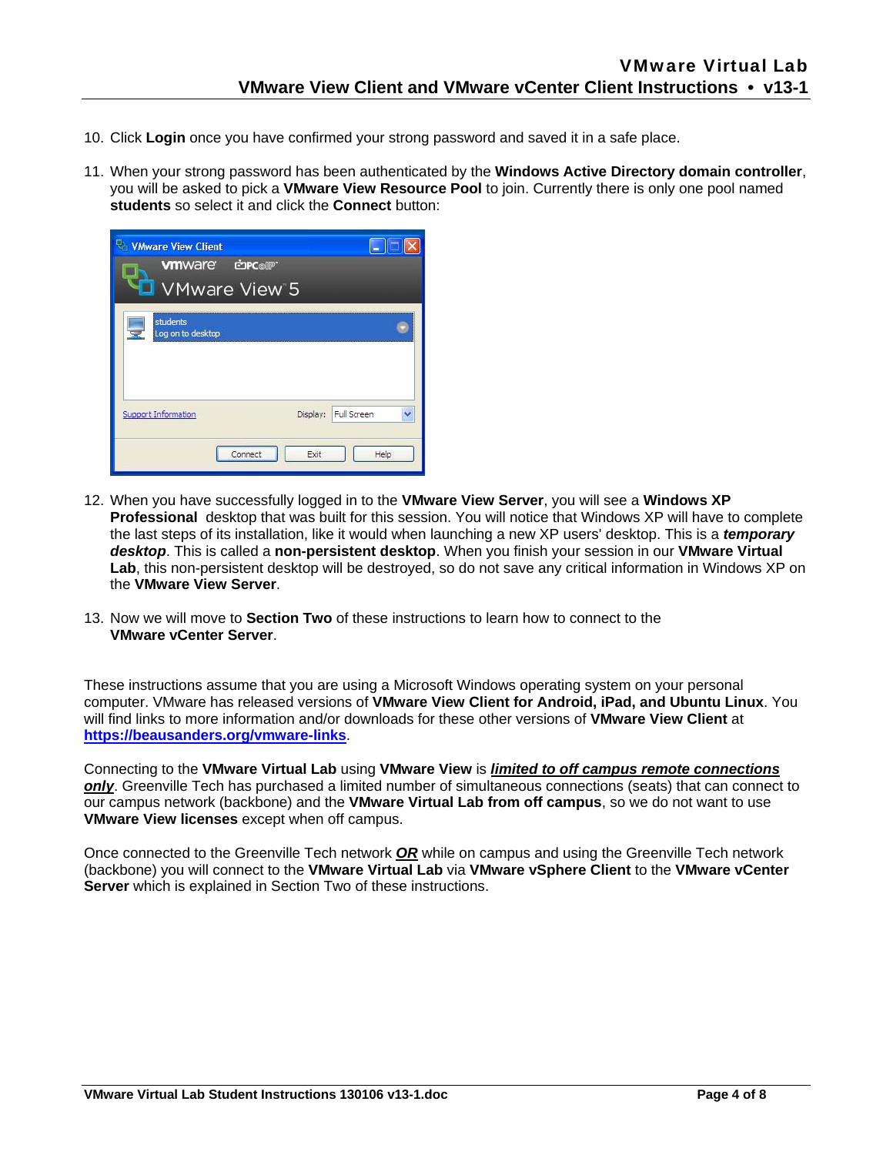- 10. Click **Login** once you have confirmed your strong password and saved it in a safe place.
- 11. When your strong password has been authenticated by the **Windows Active Directory domain controller**, you will be asked to pick a **VMware View Resource Pool** to join. Currently there is only one pool named **students** so select it and click the **Connect** button:

| <b>Whware View Client</b><br><b>vm</b> ware cone<br><b>U</b> VMware View 5 |              |
|----------------------------------------------------------------------------|--------------|
| students<br>宝<br>Log on to desktop                                         |              |
| Display: Full Screen<br>Support Information                                | $\checkmark$ |
| Connect<br>Exit                                                            | Help         |

- 12. When you have successfully logged in to the **VMware View Server**, you will see a **Windows XP Professional** desktop that was built for this session. You will notice that Windows XP will have to complete the last steps of its installation, like it would when launching a new XP users' desktop. This is a *temporary desktop*. This is called a **non-persistent desktop**. When you finish your session in our **VMware Virtual**  Lab, this non-persistent desktop will be destroyed, so do not save any critical information in Windows XP on the **VMware View Server**.
- 13. Now we will move to **Section Two** of these instructions to learn how to connect to the **VMware vCenter Server**.

These instructions assume that you are using a Microsoft Windows operating system on your personal computer. VMware has released versions of **VMware View Client for Android, iPad, and Ubuntu Linux**. You will find links to more information and/or downloads for these other versions of **VMware View Client** at **https://beausanders.org/vmware-links**.

Connecting to the **VMware Virtual Lab** using **VMware View** is *limited to off campus remote connections only*. Greenville Tech has purchased a limited number of simultaneous connections (seats) that can connect to our campus network (backbone) and the **VMware Virtual Lab from off campus**, so we do not want to use **VMware View licenses** except when off campus.

Once connected to the Greenville Tech network *OR* while on campus and using the Greenville Tech network (backbone) you will connect to the **VMware Virtual Lab** via **VMware vSphere Client** to the **VMware vCenter Server** which is explained in Section Two of these instructions.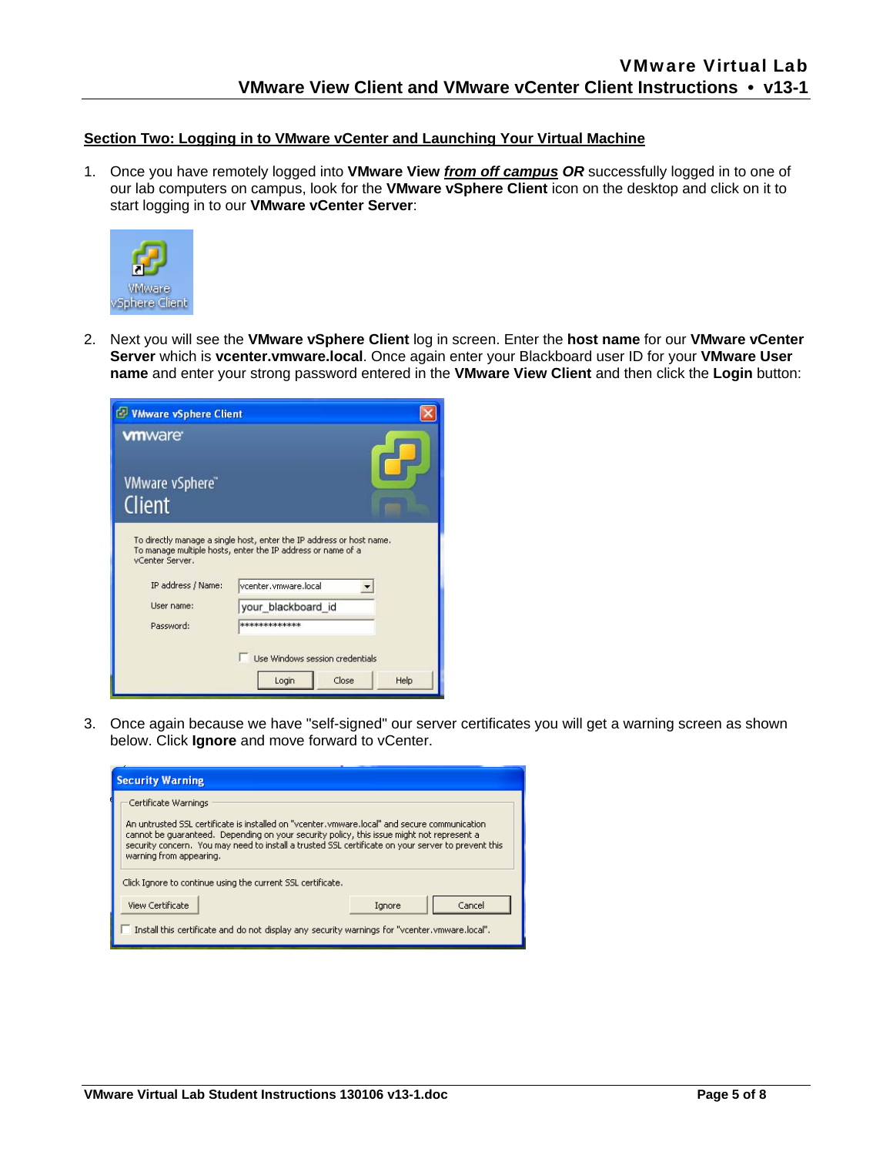### **Section Two: Logging in to VMware vCenter and Launching Your Virtual Machine**

1. Once you have remotely logged into **VMware View** *from off campus OR* successfully logged in to one of our lab computers on campus, look for the **VMware vSphere Client** icon on the desktop and click on it to start logging in to our **VMware vCenter Server**:



2. Next you will see the **VMware vSphere Client** log in screen. Enter the **host name** for our **VMware vCenter Server** which is **vcenter.vmware.local**. Once again enter your Blackboard user ID for your **VMware User name** and enter your strong password entered in the **VMware View Client** and then click the **Login** button:

| <b>EV VMware vSphere Client</b>                                  |                                                                                                                                                                                                                                                                 |
|------------------------------------------------------------------|-----------------------------------------------------------------------------------------------------------------------------------------------------------------------------------------------------------------------------------------------------------------|
| <b>vm</b> ware<br>VMware vSphere"<br>Client                      |                                                                                                                                                                                                                                                                 |
| vCenter Server.<br>IP address / Name:<br>Hser name:<br>Password: | To directly manage a single host, enter the IP address or host name.<br>To manage multiple hosts, enter the IP address or name of a<br>vcenter.vmware.local<br>your blackboard id<br>*************<br>Use Windows session credentials<br>Close<br>Help<br>Login |

3. Once again because we have "self-signed" our server certificates you will get a warning screen as shown below. Click **Ignore** and move forward to vCenter.

| <b>Security Warning</b>                                                                                                                                                                                                                                                                                                                              |  |  |
|------------------------------------------------------------------------------------------------------------------------------------------------------------------------------------------------------------------------------------------------------------------------------------------------------------------------------------------------------|--|--|
| Certificate Warnings<br>An untrusted SSL certificate is installed on "vcenter, ymware, local" and secure communication<br>cannot be quaranteed. Depending on your security policy, this issue might not represent a<br>security concern. You may need to install a trusted SSL certificate on your server to prevent this<br>warning from appearing. |  |  |
| Click Ignore to continue using the current SSL certificate.                                                                                                                                                                                                                                                                                          |  |  |
| <b>View Certificate</b><br>Cancel<br>Ignore<br>."Install this certificate and do not display any security warnings for "vcenter, ymware, local".                                                                                                                                                                                                     |  |  |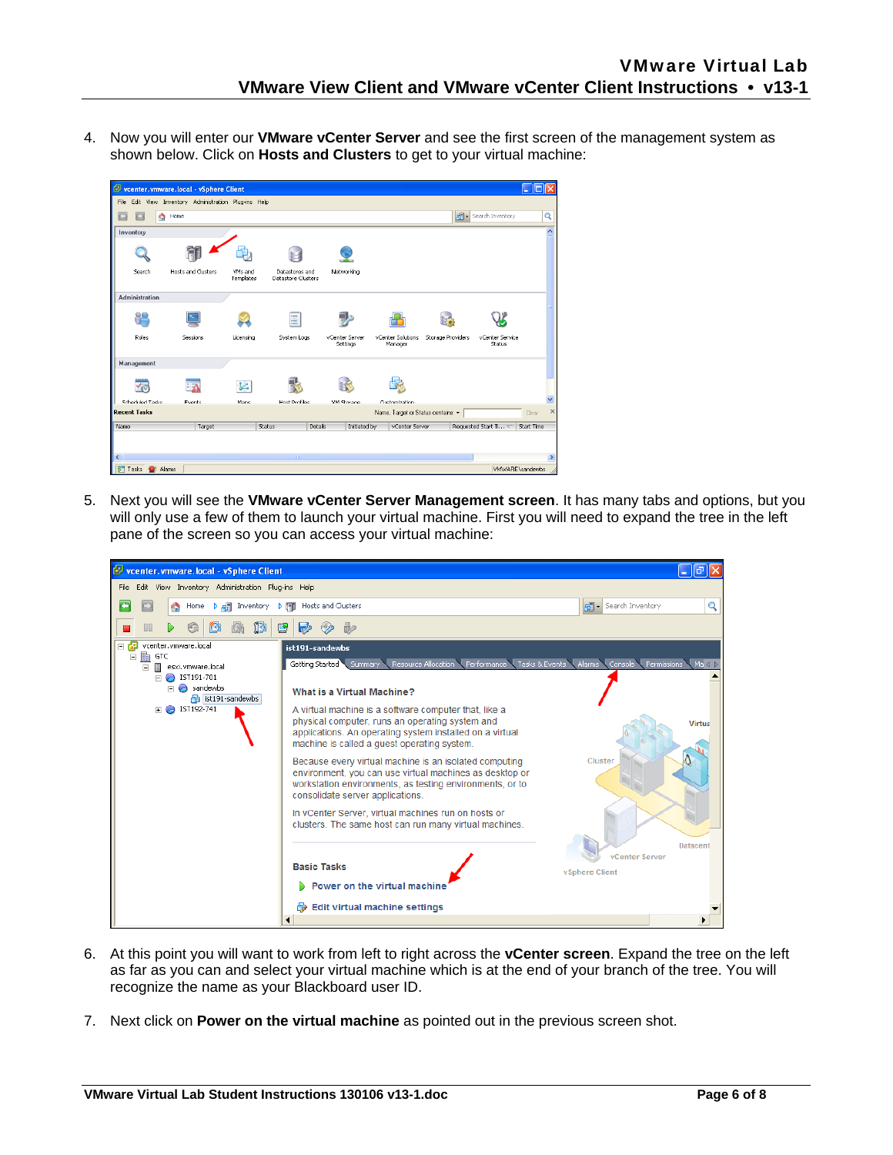4. Now you will enter our **VMware vCenter Server** and see the first screen of the management system as shown below. Click on **Hosts and Clusters** to get to your virtual machine:



5. Next you will see the **VMware vCenter Server Management screen**. It has many tabs and options, but you will only use a few of them to launch your virtual machine. First you will need to expand the tree in the left pane of the screen so you can access your virtual machine:



- 6. At this point you will want to work from left to right across the **vCenter screen**. Expand the tree on the left as far as you can and select your virtual machine which is at the end of your branch of the tree. You will recognize the name as your Blackboard user ID.
- 7. Next click on **Power on the virtual machine** as pointed out in the previous screen shot.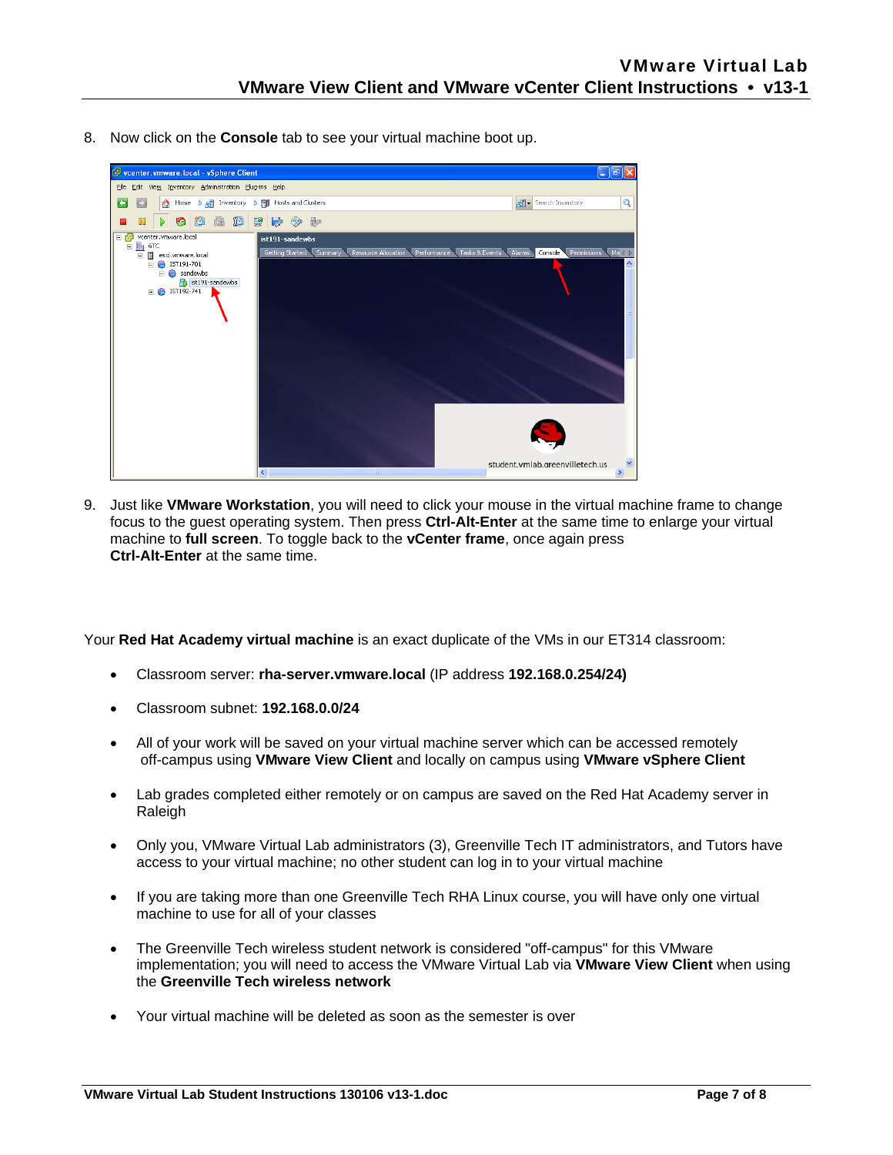8. Now click on the **Console** tab to see your virtual machine boot up.



9. Just like **VMware Workstation**, you will need to click your mouse in the virtual machine frame to change focus to the guest operating system. Then press **Ctrl-Alt-Enter** at the same time to enlarge your virtual machine to **full screen**. To toggle back to the **vCenter frame**, once again press **Ctrl-Alt-Enter** at the same time.

Your **Red Hat Academy virtual machine** is an exact duplicate of the VMs in our ET314 classroom:

- Classroom server: **rha-server.vmware.local** (IP address **192.168.0.254/24)**
- Classroom subnet: **192.168.0.0/24**
- All of your work will be saved on your virtual machine server which can be accessed remotely off-campus using **VMware View Client** and locally on campus using **VMware vSphere Client**
- Lab grades completed either remotely or on campus are saved on the Red Hat Academy server in Raleigh
- Only you, VMware Virtual Lab administrators (3), Greenville Tech IT administrators, and Tutors have access to your virtual machine; no other student can log in to your virtual machine
- If you are taking more than one Greenville Tech RHA Linux course, you will have only one virtual machine to use for all of your classes
- The Greenville Tech wireless student network is considered "off-campus" for this VMware implementation; you will need to access the VMware Virtual Lab via **VMware View Client** when using the **Greenville Tech wireless network**
- Your virtual machine will be deleted as soon as the semester is over